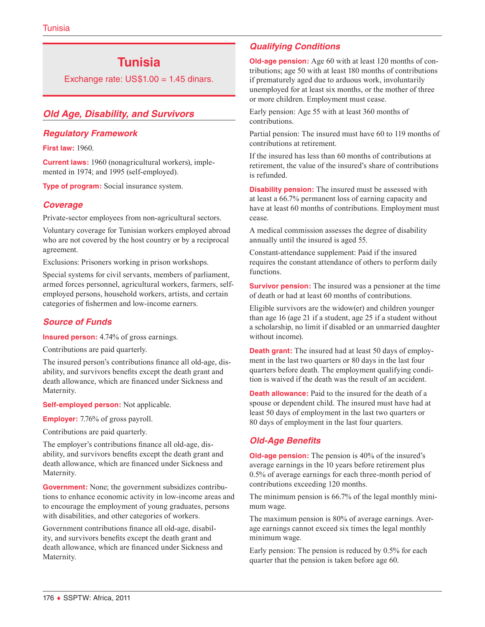# **Tunisia**

Exchange rate:  $US$1.00 = 1.45$  dinars.

### *Old Age, Disability, and Survivors*

#### *Regulatory Framework*

**First law:** 1960.

**Current laws:** 1960 (nonagricultural workers), implemented in 1974; and 1995 (self-employed).

**Type of program:** Social insurance system.

#### *Coverage*

Private-sector employees from non-agricultural sectors.

Voluntary coverage for Tunisian workers employed abroad who are not covered by the host country or by a reciprocal agreement.

Exclusions: Prisoners working in prison workshops.

Special systems for civil servants, members of parliament, armed forces personnel, agricultural workers, farmers, selfemployed persons, household workers, artists, and certain categories of fishermen and low-income earners.

#### *Source of Funds*

**Insured person:** 4.74% of gross earnings.

Contributions are paid quarterly.

The insured person's contributions finance all old-age, disability, and survivors benefits except the death grant and death allowance, which are financed under Sickness and Maternity.

**Self-employed person:** Not applicable.

**Employer:** 7.76% of gross payroll.

Contributions are paid quarterly.

The employer's contributions finance all old-age, disability, and survivors benefits except the death grant and death allowance, which are financed under Sickness and Maternity.

**Government:** None; the government subsidizes contributions to enhance economic activity in low-income areas and to encourage the employment of young graduates, persons with disabilities, and other categories of workers.

Government contributions finance all old-age, disability, and survivors benefits except the death grant and death allowance, which are financed under Sickness and Maternity.

### *Qualifying Conditions*

**Old-age pension:** Age 60 with at least 120 months of contributions; age 50 with at least 180 months of contributions if prematurely aged due to arduous work, involuntarily unemployed for at least six months, or the mother of three or more children. Employment must cease.

Early pension: Age 55 with at least 360 months of contributions.

Partial pension: The insured must have 60 to 119 months of contributions at retirement.

If the insured has less than 60 months of contributions at retirement, the value of the insured's share of contributions is refunded.

**Disability pension:** The insured must be assessed with at least a 66.7% permanent loss of earning capacity and have at least 60 months of contributions. Employment must cease.

A medical commission assesses the degree of disability annually until the insured is aged 55.

Constant-attendance supplement: Paid if the insured requires the constant attendance of others to perform daily functions.

**Survivor pension:** The insured was a pensioner at the time of death or had at least 60 months of contributions.

Eligible survivors are the widow(er) and children younger than age 16 (age 21 if a student, age 25 if a student without a scholarship, no limit if disabled or an unmarried daughter without income).

**Death grant:** The insured had at least 50 days of employment in the last two quarters or 80 days in the last four quarters before death. The employment qualifying condition is waived if the death was the result of an accident.

**Death allowance:** Paid to the insured for the death of a spouse or dependent child. The insured must have had at least 50 days of employment in the last two quarters or 80 days of employment in the last four quarters.

### *Old-Age Benefits*

**Old-age pension:** The pension is 40% of the insured's average earnings in the 10 years before retirement plus 0.5% of average earnings for each three-month period of contributions exceeding 120 months.

The minimum pension is 66.7% of the legal monthly minimum wage.

The maximum pension is 80% of average earnings. Average earnings cannot exceed six times the legal monthly minimum wage.

Early pension: The pension is reduced by 0.5% for each quarter that the pension is taken before age 60.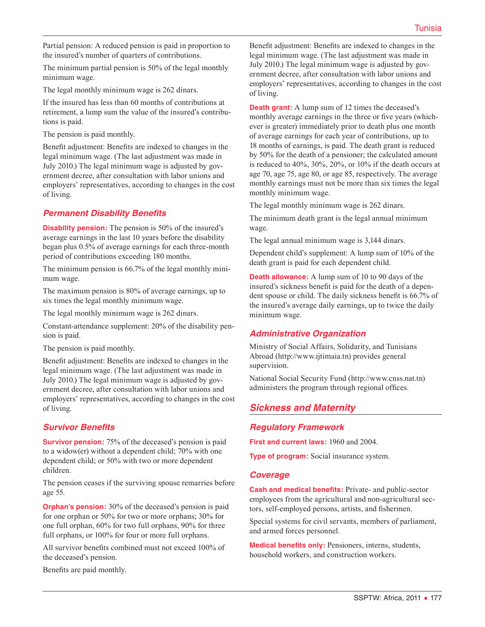Partial pension: A reduced pension is paid in proportion to the insured's number of quarters of contributions.

The minimum partial pension is 50% of the legal monthly minimum wage.

The legal monthly minimum wage is 262 dinars.

If the insured has less than 60 months of contributions at retirement, a lump sum the value of the insured's contributions is paid.

The pension is paid monthly.

Benefit adjustment: Benefits are indexed to changes in the legal minimum wage. (The last adjustment was made in July 2010.) The legal minimum wage is adjusted by government decree, after consultation with labor unions and employers' representatives, according to changes in the cost of living.

### *Permanent Disability Benefits*

**Disability pension:** The pension is 50% of the insured's average earnings in the last 10 years before the disability began plus 0.5% of average earnings for each three-month period of contributions exceeding 180 months.

The minimum pension is 66.7% of the legal monthly minimum wage.

The maximum pension is 80% of average earnings, up to six times the legal monthly minimum wage.

The legal monthly minimum wage is 262 dinars.

Constant-attendance supplement: 20% of the disability pension is paid.

The pension is paid monthly.

Benefit adjustment: Benefits are indexed to changes in the legal minimum wage. (The last adjustment was made in July 2010.) The legal minimum wage is adjusted by government decree, after consultation with labor unions and employers' representatives, according to changes in the cost of living.

#### *Survivor Benefits*

**Survivor pension:** 75% of the deceased's pension is paid to a widow(er) without a dependent child; 70% with one dependent child; or 50% with two or more dependent children.

The pension ceases if the surviving spouse remarries before age 55.

**Orphan's pension:** 30% of the deceased's pension is paid for one orphan or 50% for two or more orphans; 30% for one full orphan, 60% for two full orphans, 90% for three full orphans, or 100% for four or more full orphans.

All survivor benefits combined must not exceed 100% of the deceased's pension.

Benefits are paid monthly.

Benefit adjustment: Benefits are indexed to changes in the legal minimum wage. (The last adjustment was made in July 2010.) The legal minimum wage is adjusted by government decree, after consultation with labor unions and employers' representatives, according to changes in the cost of living.

**Death grant:** A lump sum of 12 times the deceased's monthly average earnings in the three or five years (whichever is greater) immediately prior to death plus one month of average earnings for each year of contributions, up to 18 months of earnings, is paid. The death grant is reduced by 50% for the death of a pensioner; the calculated amount is reduced to 40%, 30%, 20%, or 10% if the death occurs at age 70, age 75, age 80, or age 85, respectively. The average monthly earnings must not be more than six times the legal monthly minimum wage.

The legal monthly minimum wage is 262 dinars.

The minimum death grant is the legal annual minimum wage.

The legal annual minimum wage is 3,144 dinars.

Dependent child's supplement: A lump sum of 10% of the death grant is paid for each dependent child.

**Death allowance:** A lump sum of 10 to 90 days of the insured's sickness benefit is paid for the death of a dependent spouse or child. The daily sickness benefit is 66.7% of the insured's average daily earnings, up to twice the daily minimum wage.

### *Administrative Organization*

Ministry of Social Affairs, Solidarity, and Tunisians Abroad [\(http://www.ijtimaia.tn\)](http://www.ijtimaia.tn) provides general supervision.

National Social Security Fund [\(http://www.cnss.nat.tn](http://www.cnss.nat.tn)) administers the program through regional offices.

## *Sickness and Maternity*

#### *Regulatory Framework*

**First and current laws:** 1960 and 2004.

**Type of program:** Social insurance system.

#### *Coverage*

**Cash and medical benefits:** Private- and public-sector employees from the agricultural and non-agricultural sectors, self-employed persons, artists, and fishermen.

Special systems for civil servants, members of parliament, and armed forces personnel.

**Medical benefits only:** Pensioners, interns, students, household workers, and construction workers.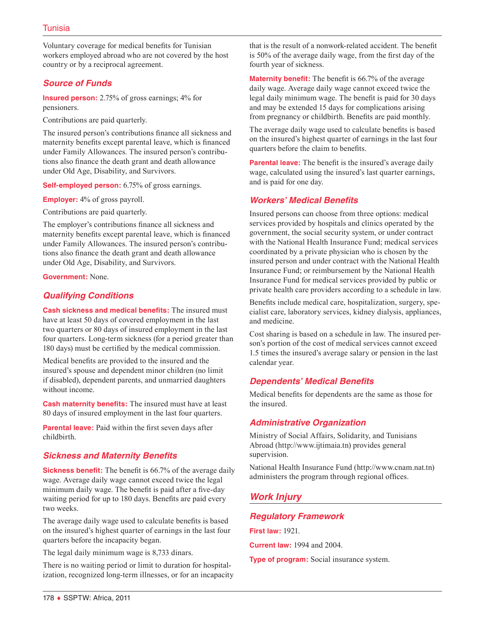Voluntary coverage for medical benefits for Tunisian workers employed abroad who are not covered by the host country or by a reciprocal agreement.

### *Source of Funds*

**Insured person:** 2.75% of gross earnings; 4% for pensioners.

Contributions are paid quarterly.

The insured person's contributions finance all sickness and maternity benefits except parental leave, which is financed under Family Allowances. The insured person's contributions also finance the death grant and death allowance under Old Age, Disability, and Survivors.

**Self-employed person:** 6.75% of gross earnings.

**Employer:** 4% of gross payroll.

Contributions are paid quarterly.

The employer's contributions finance all sickness and maternity benefits except parental leave, which is financed under Family Allowances. The insured person's contributions also finance the death grant and death allowance under Old Age, Disability, and Survivors.

**Government:** None.

### *Qualifying Conditions*

**Cash sickness and medical benefits:** The insured must have at least 50 days of covered employment in the last two quarters or 80 days of insured employment in the last four quarters. Long-term sickness (for a period greater than 180 days) must be certified by the medical commission.

Medical benefits are provided to the insured and the insured's spouse and dependent minor children (no limit if disabled), dependent parents, and unmarried daughters without income.

**Cash maternity benefits:** The insured must have at least 80 days of insured employment in the last four quarters.

**Parental leave:** Paid within the first seven days after childbirth.

### *Sickness and Maternity Benefits*

**Sickness benefit:** The benefit is 66.7% of the average daily wage. Average daily wage cannot exceed twice the legal minimum daily wage. The benefit is paid after a five-day waiting period for up to 180 days. Benefits are paid every two weeks.

The average daily wage used to calculate benefits is based on the insured's highest quarter of earnings in the last four quarters before the incapacity began.

The legal daily minimum wage is 8,733 dinars.

There is no waiting period or limit to duration for hospitalization, recognized long-term illnesses, or for an incapacity

that is the result of a nonwork-related accident. The benefit is 50% of the average daily wage, from the first day of the fourth year of sickness.

**Maternity benefit:** The benefit is 66.7% of the average daily wage. Average daily wage cannot exceed twice the legal daily minimum wage. The benefit is paid for 30 days and may be extended 15 days for complications arising from pregnancy or childbirth. Benefits are paid monthly.

The average daily wage used to calculate benefits is based on the insured's highest quarter of earnings in the last four quarters before the claim to benefits.

**Parental leave:** The benefit is the insured's average daily wage, calculated using the insured's last quarter earnings, and is paid for one day.

### *Workers' Medical Benefits*

Insured persons can choose from three options: medical services provided by hospitals and clinics operated by the government, the social security system, or under contract with the National Health Insurance Fund; medical services coordinated by a private physician who is chosen by the insured person and under contract with the National Health Insurance Fund; or reimbursement by the National Health Insurance Fund for medical services provided by public or private health care providers according to a schedule in law.

Benefits include medical care, hospitalization, surgery, specialist care, laboratory services, kidney dialysis, appliances, and medicine.

Cost sharing is based on a schedule in law. The insured person's portion of the cost of medical services cannot exceed 1.5 times the insured's average salary or pension in the last calendar year.

#### *Dependents' Medical Benefits*

Medical benefits for dependents are the same as those for the insured.

### *Administrative Organization*

Ministry of Social Affairs, Solidarity, and Tunisians Abroad [\(http://www.ijtimaia.tn\)](http://www.ijtimaia.tn) provides general supervision.

National Health Insurance Fund (<http://www.cnam.nat.tn>) administers the program through regional offices.

# *Work Injury*

#### *Regulatory Framework*

**First law:** 1921.

**Current law:** 1994 and 2004.

**Type of program:** Social insurance system.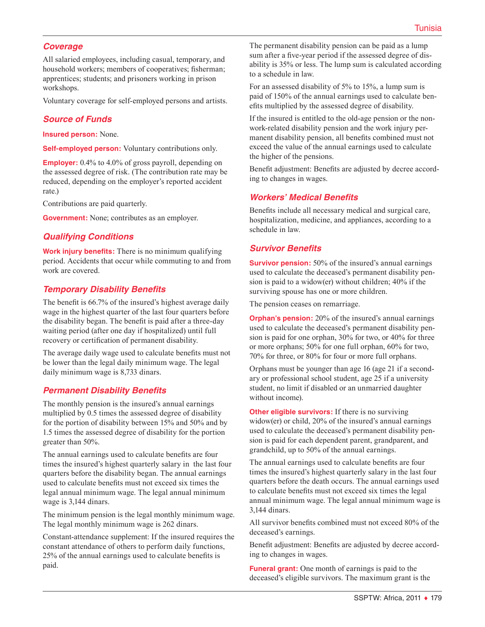### *Coverage*

All salaried employees, including casual, temporary, and household workers; members of cooperatives; fisherman; apprentices; students; and prisoners working in prison workshops.

Voluntary coverage for self-employed persons and artists.

### *Source of Funds*

**Insured person:** None.

**Self-employed person:** Voluntary contributions only.

**Employer:** 0.4% to 4.0% of gross payroll, depending on the assessed degree of risk. (The contribution rate may be reduced, depending on the employer's reported accident rate.)

Contributions are paid quarterly.

**Government:** None; contributes as an employer.

### *Qualifying Conditions*

**Work injury benefits:** There is no minimum qualifying period. Accidents that occur while commuting to and from work are covered.

### *Temporary Disability Benefits*

The benefit is 66.7% of the insured's highest average daily wage in the highest quarter of the last four quarters before the disability began. The benefit is paid after a three-day waiting period (after one day if hospitalized) until full recovery or certification of permanent disability.

The average daily wage used to calculate benefits must not be lower than the legal daily minimum wage. The legal daily minimum wage is 8,733 dinars.

#### *Permanent Disability Benefits*

The monthly pension is the insured's annual earnings multiplied by 0.5 times the assessed degree of disability for the portion of disability between 15% and 50% and by 1.5 times the assessed degree of disability for the portion greater than 50%.

The annual earnings used to calculate benefits are four times the insured's highest quarterly salary in the last four quarters before the disability began. The annual earnings used to calculate benefits must not exceed six times the legal annual minimum wage. The legal annual minimum wage is 3,144 dinars.

The minimum pension is the legal monthly minimum wage. The legal monthly minimum wage is 262 dinars.

Constant-attendance supplement: If the insured requires the constant attendance of others to perform daily functions, 25% of the annual earnings used to calculate benefits is paid.

The permanent disability pension can be paid as a lump sum after a five-year period if the assessed degree of disability is 35% or less. The lump sum is calculated according to a schedule in law.

For an assessed disability of 5% to 15%, a lump sum is paid of 150% of the annual earnings used to calculate benefits multiplied by the assessed degree of disability.

If the insured is entitled to the old-age pension or the nonwork-related disability pension and the work injury permanent disability pension, all benefits combined must not exceed the value of the annual earnings used to calculate the higher of the pensions.

Benefit adjustment: Benefits are adjusted by decree according to changes in wages.

#### *Workers' Medical Benefits*

Benefits include all necessary medical and surgical care, hospitalization, medicine, and appliances, according to a schedule in law.

#### *Survivor Benefits*

**Survivor pension:** 50% of the insured's annual earnings used to calculate the deceased's permanent disability pension is paid to a widow(er) without children; 40% if the surviving spouse has one or more children.

The pension ceases on remarriage.

**Orphan's pension:** 20% of the insured's annual earnings used to calculate the deceased's permanent disability pension is paid for one orphan, 30% for two, or 40% for three or more orphans; 50% for one full orphan, 60% for two, 70% for three, or 80% for four or more full orphans.

Orphans must be younger than age 16 (age 21 if a secondary or professional school student, age 25 if a university student, no limit if disabled or an unmarried daughter without income).

**Other eligible survivors:** If there is no surviving widow(er) or child, 20% of the insured's annual earnings used to calculate the deceased's permanent disability pension is paid for each dependent parent, grandparent, and grandchild, up to 50% of the annual earnings.

The annual earnings used to calculate benefits are four times the insured's highest quarterly salary in the last four quarters before the death occurs. The annual earnings used to calculate benefits must not exceed six times the legal annual minimum wage. The legal annual minimum wage is 3,144 dinars.

All survivor benefits combined must not exceed 80% of the deceased's earnings.

Benefit adjustment: Benefits are adjusted by decree according to changes in wages.

**Funeral grant:** One month of earnings is paid to the deceased's eligible survivors. The maximum grant is the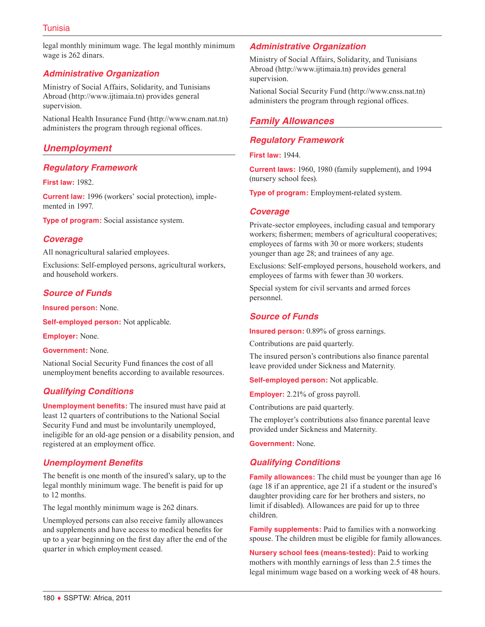legal monthly minimum wage. The legal monthly minimum wage is 262 dinars.

### *Administrative Organization*

Ministry of Social Affairs, Solidarity, and Tunisians Abroad [\(http://www.ijtimaia.tn\)](http://www.ijtimaia.tn) provides general supervision.

National Health Insurance Fund (<http://www.cnam.nat.tn>) administers the program through regional offices.

### *Unemployment*

#### *Regulatory Framework*

**First law:** 1982.

**Current law:** 1996 (workers' social protection), implemented in 1997.

**Type of program:** Social assistance system.

#### *Coverage*

All nonagricultural salaried employees.

Exclusions: Self-employed persons, agricultural workers, and household workers.

### *Source of Funds*

**Insured person:** None.

**Self-employed person:** Not applicable.

**Employer:** None.

**Government:** None.

National Social Security Fund finances the cost of all unemployment benefits according to available resources.

### *Qualifying Conditions*

**Unemployment benefits:** The insured must have paid at least 12 quarters of contributions to the National Social Security Fund and must be involuntarily unemployed, ineligible for an old-age pension or a disability pension, and registered at an employment office.

#### *Unemployment Benefits*

The benefit is one month of the insured's salary, up to the legal monthly minimum wage. The benefit is paid for up to 12 months.

The legal monthly minimum wage is 262 dinars.

Unemployed persons can also receive family allowances and supplements and have access to medical benefits for up to a year beginning on the first day after the end of the quarter in which employment ceased.

#### *Administrative Organization*

Ministry of Social Affairs, Solidarity, and Tunisians Abroad [\(http://www.ijtimaia.tn\)](http://www.ijtimaia.tn) provides general supervision.

National Social Security Fund [\(http://www.cnss.nat.tn](http://www.cnss.nat.tn)) administers the program through regional offices.

# *Family Allowances*

#### *Regulatory Framework*

**First law:** 1944.

**Current laws:** 1960, 1980 (family supplement), and 1994 (nursery school fees).

**Type of program:** Employment-related system.

#### *Coverage*

Private-sector employees, including casual and temporary workers; fishermen; members of agricultural cooperatives; employees of farms with 30 or more workers; students younger than age 28; and trainees of any age.

Exclusions: Self-employed persons, household workers, and employees of farms with fewer than 30 workers.

Special system for civil servants and armed forces personnel.

#### *Source of Funds*

**Insured person:** 0.89% of gross earnings.

Contributions are paid quarterly.

The insured person's contributions also finance parental leave provided under Sickness and Maternity.

**Self-employed person:** Not applicable.

**Employer:** 2.21% of gross payroll.

Contributions are paid quarterly.

The employer's contributions also finance parental leave provided under Sickness and Maternity.

**Government:** None.

### *Qualifying Conditions*

**Family allowances:** The child must be younger than age 16 (age 18 if an apprentice, age 21 if a student or the insured's daughter providing care for her brothers and sisters, no limit if disabled). Allowances are paid for up to three children.

**Family supplements:** Paid to families with a nonworking spouse. The children must be eligible for family allowances.

**Nursery school fees (means-tested):** Paid to working mothers with monthly earnings of less than 2.5 times the legal minimum wage based on a working week of 48 hours.